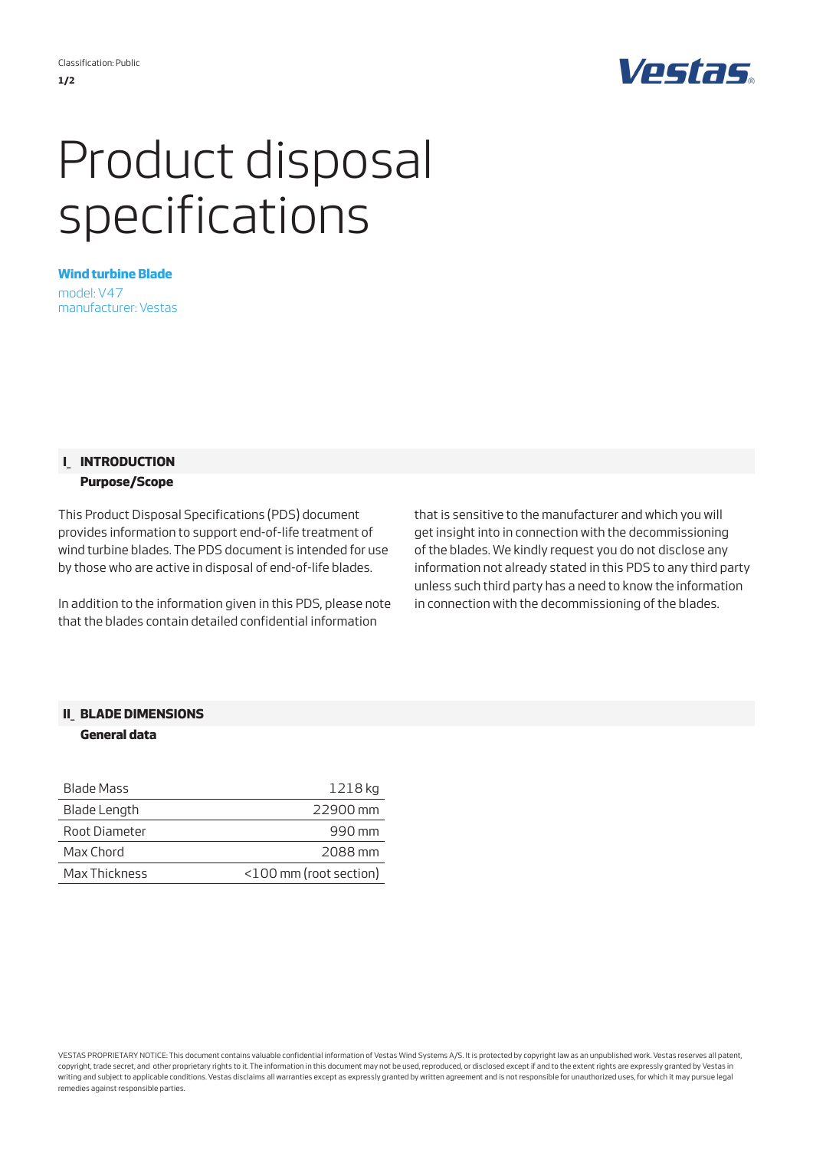

# Product disposal specifications

**Wind turbine Blade** model: V47 manufacturer: Vestas

### **I\_ INTRODUCTION Purpose/Scope**

This Product Disposal Specifications (PDS) document provides information to support end-of-life treatment of wind turbine blades. The PDS document is intended for use by those who are active in disposal of end-of-life blades.

In addition to the information given in this PDS, please note that the blades contain detailed confidential information

that is sensitive to the manufacturer and which you will get insight into in connection with the decommissioning of the blades. We kindly request you do not disclose any information not already stated in this PDS to any third party unless such third party has a need to know the information in connection with the decommissioning of the blades.

## **II\_ BLADE DIMENSIONS**

#### **General data**

| Blade Mass    | 1218 kg                |
|---------------|------------------------|
| Blade Length  | 22900 mm               |
| Root Diameter | 990 mm                 |
| Max Chord     | 2088 mm                |
| Max Thickness | <100 mm (root section) |

VESTAS PROPRIETARY NOTICE: This document contains valuable confidential information of Vestas Wind Systems A/S. It is protected by copyright law as an unpublished work. Vestas reserves all patent, copyright, trade secret, and other proprietary rights to it. The information in this document may not be used, reproduced, or disclosed except if and to the extent rights are expressly granted by Vestas in writing and subject to applicable conditions. Vestas disclaims all warranties except as expressly granted by written agreement and is not responsible for unauthorized uses, for which it may pursue legal remedies against responsible parties.